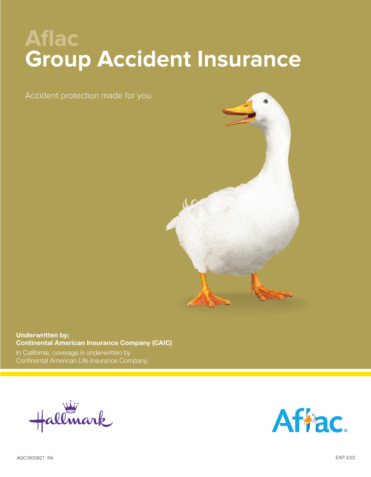# **Aflac Group Accident Insurance**

Accident protection made for you.



# **Underwritten by: Continental American Insurance Company (CAIC)**

In California, coverage is underwritten by Continental American Life Insurance Company.



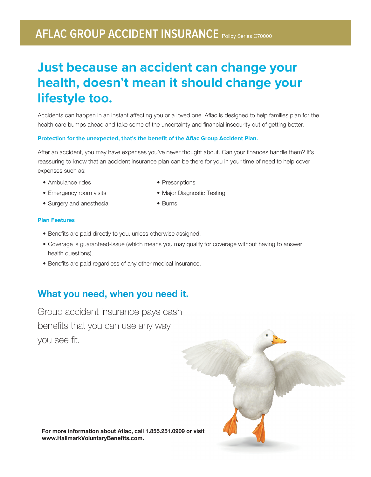# **AFLAC GROUP ACCIDENT INSURANCE** Policy Series C70000

# **Just because an accident can change your health, doesn't mean it should change your lifestyle too.**

Accidents can happen in an instant affecting you or a loved one. Aflac is designed to help families plan for the health care bumps ahead and take some of the uncertainty and financial insecurity out of getting better.

### **Protection for the unexpected, that's the benefit of the Aflac Group Accident Plan.**

After an accident, you may have expenses you've never thought about. Can your finances handle them? It's reassuring to know that an accident insurance plan can be there for you in your time of need to help cover expenses such as:

• Prescriptions

- Ambulance rides
- Emergency room visits
- Surgery and anesthesia
- Major Diagnostic Testing
- Burns

### **Plan Features**

- Benefits are paid directly to you, unless otherwise assigned.
- Coverage is guaranteed-issue (which means you may qualify for coverage without having to answer health questions).
- Benefits are paid regardless of any other medical insurance.

# **What you need, when you need it.**

Group accident insurance pays cash benefits that you can use any way you see fit.



**For more information about Aflac, call 1.855.251.0909 or visit www.HallmarkVoluntaryBenefits.com.**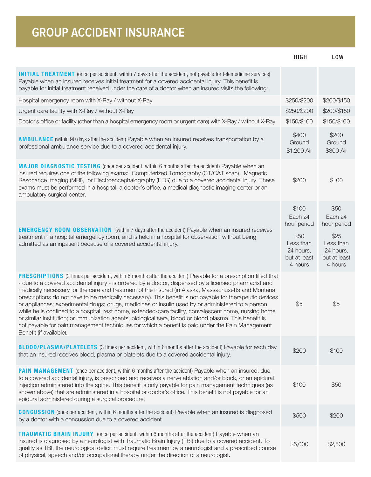| <b>GROUP ACCIDENT INSURANCE</b>                                                                                                                                                                                                                                                                                                                                                                                                                                                                                                                                                                                                                                                                                                                                                                                                                                                                               |                                                                                              |                                                                                             |
|---------------------------------------------------------------------------------------------------------------------------------------------------------------------------------------------------------------------------------------------------------------------------------------------------------------------------------------------------------------------------------------------------------------------------------------------------------------------------------------------------------------------------------------------------------------------------------------------------------------------------------------------------------------------------------------------------------------------------------------------------------------------------------------------------------------------------------------------------------------------------------------------------------------|----------------------------------------------------------------------------------------------|---------------------------------------------------------------------------------------------|
|                                                                                                                                                                                                                                                                                                                                                                                                                                                                                                                                                                                                                                                                                                                                                                                                                                                                                                               | <b>HIGH</b>                                                                                  | <b>LOW</b>                                                                                  |
| <b>INITIAL TREATMENT</b> (once per accident, within 7 days after the accident, not payable for telemedicine services)<br>Payable when an insured receives initial treatment for a covered accidental injury. This benefit is<br>payable for initial treatment received under the care of a doctor when an insured visits the following:                                                                                                                                                                                                                                                                                                                                                                                                                                                                                                                                                                       |                                                                                              |                                                                                             |
| Hospital emergency room with X-Ray / without X-Ray                                                                                                                                                                                                                                                                                                                                                                                                                                                                                                                                                                                                                                                                                                                                                                                                                                                            | \$250/\$200                                                                                  | \$200/\$150                                                                                 |
| Urgent care facility with X-Ray / without X-Ray                                                                                                                                                                                                                                                                                                                                                                                                                                                                                                                                                                                                                                                                                                                                                                                                                                                               | \$250/\$200                                                                                  | \$200/\$150                                                                                 |
| Doctor's office or facility (other than a hospital emergency room or urgent care) with X-Ray / without X-Ray                                                                                                                                                                                                                                                                                                                                                                                                                                                                                                                                                                                                                                                                                                                                                                                                  | \$150/\$100                                                                                  | \$150/\$100                                                                                 |
| <b>AMBULANCE</b> (within 90 days after the accident) Payable when an insured receives transportation by a<br>professional ambulance service due to a covered accidental injury.                                                                                                                                                                                                                                                                                                                                                                                                                                                                                                                                                                                                                                                                                                                               | \$400<br>Ground<br>\$1,200 Air                                                               | \$200<br>Ground<br>\$800 Air                                                                |
| MAJOR DIAGNOSTIC TESTING (once per accident, within 6 months after the accident) Payable when an<br>insured requires one of the following exams: Computerized Tomography (CT/CAT scan), Magnetic<br>Resonance Imaging (MRI), or Electroencephalography (EEG) due to a covered accidental injury. These<br>exams must be performed in a hospital, a doctor's office, a medical diagnostic imaging center or an<br>ambulatory surgical center.                                                                                                                                                                                                                                                                                                                                                                                                                                                                  | \$200                                                                                        | \$100                                                                                       |
| <b>EMERGENCY ROOM OBSERVATION</b> (within 7 days after the accident) Payable when an insured receives<br>treatment in a hospital emergency room, and is held in a hospital for observation without being<br>admitted as an inpatient because of a covered accidental injury.                                                                                                                                                                                                                                                                                                                                                                                                                                                                                                                                                                                                                                  | \$100<br>Each 24<br>hour period<br>\$50<br>Less than<br>24 hours,<br>but at least<br>4 hours | \$50<br>Each 24<br>hour period<br>\$25<br>Less than<br>24 hours,<br>but at least<br>4 hours |
| <b>PRESCRIPTIONS</b> (2 times per accident, within 6 months after the accident) Payable for a prescription filled that<br>- due to a covered accidental injury - is ordered by a doctor, dispensed by a licensed pharmacist and<br>medically necessary for the care and treatment of the insured (in Alaska, Massachusetts and Montana<br>prescriptions do not have to be medically necessary). This benefit is not payable for therapeutic devices<br>or appliances; experimental drugs; drugs, medicines or insulin used by or administered to a person<br>while he is confined to a hospital, rest home, extended-care facility, convalescent home, nursing home<br>or similar institution; or immunization agents, biological sera, blood or blood plasma. This benefit is<br>not payable for pain management techniques for which a benefit is paid under the Pain Management<br>Benefit (if available). | \$5                                                                                          | \$5                                                                                         |
| <b>BLOOD/PLASMA/PLATELETS</b> (3 times per accident, within 6 months after the accident) Payable for each day<br>that an insured receives blood, plasma or platelets due to a covered accidental injury.                                                                                                                                                                                                                                                                                                                                                                                                                                                                                                                                                                                                                                                                                                      | \$200                                                                                        | \$100                                                                                       |
| <b>PAIN MANAGEMENT</b> (once per accident, within 6 months after the accident) Payable when an insured, due<br>to a covered accidental injury, is prescribed and receives a nerve ablation and/or block, or an epidural<br>injection administered into the spine. This benefit is only payable for pain management techniques (as<br>shown above) that are administered in a hospital or doctor's office. This benefit is not payable for an<br>epidural administered during a surgical procedure.                                                                                                                                                                                                                                                                                                                                                                                                            | \$100                                                                                        | \$50                                                                                        |
| <b>CONCUSSION</b> (once per accident, within 6 months after the accident) Payable when an insured is diagnosed<br>by a doctor with a concussion due to a covered accident.                                                                                                                                                                                                                                                                                                                                                                                                                                                                                                                                                                                                                                                                                                                                    | \$500                                                                                        | \$200                                                                                       |
| <b>TRAUMATIC BRAIN INJURY</b> (once per accident, within 6 months after the accident) Payable when an<br>insured is diagnosed by a neurologist with Traumatic Brain Injury (TBI) due to a covered accident. To<br>qualify as TBI, the neurological deficit must require treatment by a neurologist and a prescribed course<br>of physical, speech and/or occupational therapy under the direction of a neurologist.                                                                                                                                                                                                                                                                                                                                                                                                                                                                                           | \$5,000                                                                                      | \$2,500                                                                                     |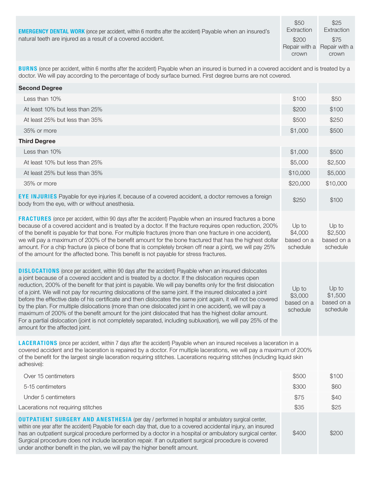| Extraction<br><b>EMERGENCY DENTAL WORK</b> (once per accident, within 6 months after the accident) Payable when an insured's | Extraction |
|------------------------------------------------------------------------------------------------------------------------------|------------|
| natural teeth are injured as a result of a covered accident.<br>\$200                                                        | \$75       |
| Repair with a Repair with a                                                                                                  |            |
| crown                                                                                                                        | crown      |

**BURNS** (once per accident, within 6 months after the accident) Payable when an insured is burned in a covered accident and is treated by a doctor. We will pay according to the percentage of body surface burned. First degree burns are not covered.

| <b>Second Degree</b>                                                                                                                                                                                                                                                                                                                                                                                                                                                                                                                                                                                                                                                                                                                                                                                                                                                                                                                   |                                            |                                            |
|----------------------------------------------------------------------------------------------------------------------------------------------------------------------------------------------------------------------------------------------------------------------------------------------------------------------------------------------------------------------------------------------------------------------------------------------------------------------------------------------------------------------------------------------------------------------------------------------------------------------------------------------------------------------------------------------------------------------------------------------------------------------------------------------------------------------------------------------------------------------------------------------------------------------------------------|--------------------------------------------|--------------------------------------------|
| Less than 10%                                                                                                                                                                                                                                                                                                                                                                                                                                                                                                                                                                                                                                                                                                                                                                                                                                                                                                                          | \$100                                      | \$50                                       |
| At least 10% but less than 25%                                                                                                                                                                                                                                                                                                                                                                                                                                                                                                                                                                                                                                                                                                                                                                                                                                                                                                         | \$200                                      | \$100                                      |
| At least 25% but less than 35%                                                                                                                                                                                                                                                                                                                                                                                                                                                                                                                                                                                                                                                                                                                                                                                                                                                                                                         | \$500                                      | \$250                                      |
| 35% or more                                                                                                                                                                                                                                                                                                                                                                                                                                                                                                                                                                                                                                                                                                                                                                                                                                                                                                                            | \$1,000                                    | \$500                                      |
| <b>Third Degree</b>                                                                                                                                                                                                                                                                                                                                                                                                                                                                                                                                                                                                                                                                                                                                                                                                                                                                                                                    |                                            |                                            |
| Less than 10%                                                                                                                                                                                                                                                                                                                                                                                                                                                                                                                                                                                                                                                                                                                                                                                                                                                                                                                          | \$1,000                                    | \$500                                      |
| At least 10% but less than 25%                                                                                                                                                                                                                                                                                                                                                                                                                                                                                                                                                                                                                                                                                                                                                                                                                                                                                                         | \$5,000                                    | \$2,500                                    |
| At least 25% but less than 35%                                                                                                                                                                                                                                                                                                                                                                                                                                                                                                                                                                                                                                                                                                                                                                                                                                                                                                         | \$10,000                                   | \$5,000                                    |
| 35% or more                                                                                                                                                                                                                                                                                                                                                                                                                                                                                                                                                                                                                                                                                                                                                                                                                                                                                                                            | \$20,000                                   | \$10,000                                   |
| <b>EYE INJURIES</b> Payable for eye injuries if, because of a covered accident, a doctor removes a foreign<br>body from the eye, with or without anesthesia.                                                                                                                                                                                                                                                                                                                                                                                                                                                                                                                                                                                                                                                                                                                                                                           | \$250                                      | \$100                                      |
| <b>FRACTURES</b> (once per accident, within 90 days after the accident) Payable when an insured fractures a bone<br>because of a covered accident and is treated by a doctor. If the fracture requires open reduction, 200%<br>of the benefit is payable for that bone. For multiple fractures (more than one fracture in one accident),<br>we will pay a maximum of 200% of the benefit amount for the bone fractured that has the highest dollar<br>amount. For a chip fracture (a piece of bone that is completely broken off near a joint), we will pay 25%<br>of the amount for the affected bone. This benefit is not payable for stress fractures.                                                                                                                                                                                                                                                                              | Up to<br>\$4,000<br>based on a<br>schedule | Up to<br>\$2,500<br>based on a<br>schedule |
| <b>DISLOCATIONS</b> (once per accident, within 90 days after the accident) Payable when an insured dislocates<br>a joint because of a covered accident and is treated by a doctor. If the dislocation requires open<br>reduction, 200% of the benefit for that joint is payable. We will pay benefits only for the first dislocation<br>of a joint. We will not pay for recurring dislocations of the same joint. If the insured dislocated a joint<br>before the effective date of his certificate and then dislocates the same joint again, it will not be covered<br>by the plan. For multiple dislocations (more than one dislocated joint in one accident), we will pay a<br>maximum of 200% of the benefit amount for the joint dislocated that has the highest dollar amount.<br>For a partial dislocation (joint is not completely separated, including subluxation), we will pay 25% of the<br>amount for the affected joint. | Up to<br>\$3,000<br>based on a<br>schedule | Up to<br>\$1,500<br>based on a<br>schedule |
| <b>LACERATIONS</b> (once per accident, within 7 days after the accident) Payable when an insured receives a laceration in a<br>covered accident and the laceration is repaired by a doctor. For multiple lacerations, we will pay a maximum of 200%<br>of the benefit for the largest single laceration requiring stitches. Lacerations requiring stitches (including liquid skin<br>adhesive):                                                                                                                                                                                                                                                                                                                                                                                                                                                                                                                                        |                                            |                                            |
| Over 15 centimeters                                                                                                                                                                                                                                                                                                                                                                                                                                                                                                                                                                                                                                                                                                                                                                                                                                                                                                                    | \$500                                      | \$100                                      |
| 5-15 centimeters                                                                                                                                                                                                                                                                                                                                                                                                                                                                                                                                                                                                                                                                                                                                                                                                                                                                                                                       | \$300                                      | \$60                                       |
| Under 5 centimeters                                                                                                                                                                                                                                                                                                                                                                                                                                                                                                                                                                                                                                                                                                                                                                                                                                                                                                                    | \$75                                       | \$40                                       |
| Lacerations not requiring stitches                                                                                                                                                                                                                                                                                                                                                                                                                                                                                                                                                                                                                                                                                                                                                                                                                                                                                                     | \$35                                       | \$25                                       |
| <b>OUTPATIENT SURGERY AND ANESTHESIA</b> (per day / performed in hospital or ambulatory surgical center,<br>within one year after the accident) Payable for each day that, due to a covered accidental injury, an insured<br>has an outpatient surgical procedure performed by a doctor in a hospital or ambulatory surgical center.<br>Surgical procedure does not include laceration repair. If an outpatient surgical procedure is covered<br>under another benefit in the plan, we will pay the higher benefit amount.                                                                                                                                                                                                                                                                                                                                                                                                             | \$400                                      | \$200                                      |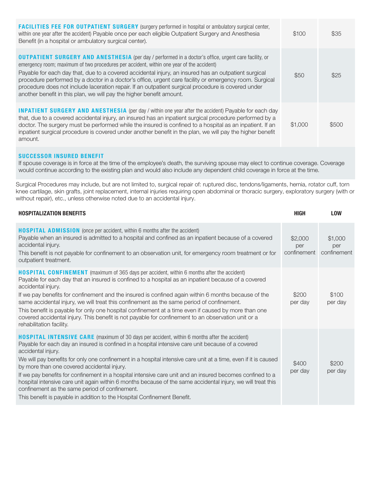| <b>FACILITIES FEE FOR OUTPATIENT SURGERY</b> (surgery performed in hospital or ambulatory surgical center,<br>within one year after the accident) Payable once per each eligible Outpatient Surgery and Anesthesia<br>Benefit (in a hospital or ambulatory surgical center).                                                                                                                                                                                                                                                                                                                             | \$100   | \$35  |
|----------------------------------------------------------------------------------------------------------------------------------------------------------------------------------------------------------------------------------------------------------------------------------------------------------------------------------------------------------------------------------------------------------------------------------------------------------------------------------------------------------------------------------------------------------------------------------------------------------|---------|-------|
| <b>OUTPATIENT SURGERY AND ANESTHESIA</b> (per day / performed in a doctor's office, urgent care facility, or<br>emergency room; maximum of two procedures per accident, within one year of the accident)<br>Payable for each day that, due to a covered accidental injury, an insured has an outpatient surgical<br>procedure performed by a doctor in a doctor's office, urgent care facility or emergency room. Surgical<br>procedure does not include laceration repair. If an outpatient surgical procedure is covered under<br>another benefit in this plan, we will pay the higher benefit amount. | \$50    | \$25  |
| <b>INPATIENT SURGERY AND ANESTHESIA</b> (per day / within one year after the accident) Payable for each day<br>that, due to a covered accidental injury, an insured has an inpatient surgical procedure performed by a<br>doctor. The surgery must be performed while the insured is confined to a hospital as an inpatient. If an<br>inpatient surgical procedure is covered under another benefit in the plan, we will pay the higher benefit<br>amount.                                                                                                                                               | \$1,000 | \$500 |

## SUCCESSOR INSURED BENEFIT

If spouse coverage is in force at the time of the employee's death, the surviving spouse may elect to continue coverage. Coverage would continue according to the existing plan and would also include any dependent child coverage in force at the time.

Surgical Procedures may include, but are not limited to, surgical repair of: ruptured disc, tendons/ligaments, hernia, rotator cuff, torn knee cartilage, skin grafts, joint replacement, internal injuries requiring open abdominal or thoracic surgery, exploratory surgery (with or without repair), etc., unless otherwise noted due to an accidental injury.

| <b>HOSPITALIZATION BENEFITS</b>                                                                                                                                                                                                                                                                                                                                                                                                                                                                                                                                                                                                                                                                                                                               | <b>HIGH</b>                   | <b>LOW</b>                    |
|---------------------------------------------------------------------------------------------------------------------------------------------------------------------------------------------------------------------------------------------------------------------------------------------------------------------------------------------------------------------------------------------------------------------------------------------------------------------------------------------------------------------------------------------------------------------------------------------------------------------------------------------------------------------------------------------------------------------------------------------------------------|-------------------------------|-------------------------------|
| <b>HOSPITAL ADMISSION</b> (once per accident, within 6 months after the accident)<br>Payable when an insured is admitted to a hospital and confined as an inpatient because of a covered<br>accidental injury.<br>This benefit is not payable for confinement to an observation unit, for emergency room treatment or for<br>outpatient treatment.                                                                                                                                                                                                                                                                                                                                                                                                            | \$2,000<br>per<br>confinement | \$1,000<br>per<br>confinement |
| <b>HOSPITAL CONFINEMENT</b> (maximum of 365 days per accident, within 6 months after the accident)<br>Payable for each day that an insured is confined to a hospital as an inpatient because of a covered<br>accidental injury.<br>If we pay benefits for confinement and the insured is confined again within 6 months because of the<br>same accidental injury, we will treat this confinement as the same period of confinement.<br>This benefit is payable for only one hospital confinement at a time even if caused by more than one<br>covered accidental injury. This benefit is not payable for confinement to an observation unit or a<br>rehabilitation facility.                                                                                  | \$200<br>per day              | \$100<br>per day              |
| <b>HOSPITAL INTENSIVE CARE</b> (maximum of 30 days per accident, within 6 months after the accident)<br>Payable for each day an insured is confined in a hospital intensive care unit because of a covered<br>accidental injury.<br>We will pay benefits for only one confinement in a hospital intensive care unit at a time, even if it is caused<br>by more than one covered accidental injury.<br>If we pay benefits for confinement in a hospital intensive care unit and an insured becomes confined to a<br>hospital intensive care unit again within 6 months because of the same accidental injury, we will treat this<br>confinement as the same period of confinement.<br>This benefit is payable in addition to the Hospital Confinement Benefit. | \$400<br>per day              | \$200<br>per day              |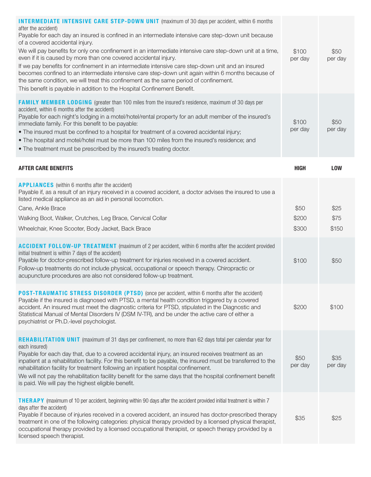| <b>INTERMEDIATE INTENSIVE CARE STEP-DOWN UNIT</b> (maximum of 30 days per accident, within 6 months<br>after the accident)<br>Payable for each day an insured is confined in an intermediate intensive care step-down unit because<br>of a covered accidental injury.<br>We will pay benefits for only one confinement in an intermediate intensive care step-down unit at a time,<br>even if it is caused by more than one covered accidental injury.<br>If we pay benefits for confinement in an intermediate intensive care step-down unit and an insured<br>becomes confined to an intermediate intensive care step-down unit again within 6 months because of<br>the same condition, we will treat this confinement as the same period of confinement.<br>This benefit is payable in addition to the Hospital Confinement Benefit. | \$100<br>per day                | \$50<br>per day               |
|-----------------------------------------------------------------------------------------------------------------------------------------------------------------------------------------------------------------------------------------------------------------------------------------------------------------------------------------------------------------------------------------------------------------------------------------------------------------------------------------------------------------------------------------------------------------------------------------------------------------------------------------------------------------------------------------------------------------------------------------------------------------------------------------------------------------------------------------|---------------------------------|-------------------------------|
| <b>FAMILY MEMBER LODGING</b> (greater than 100 miles from the insured's residence, maximum of 30 days per<br>accident, within 6 months after the accident)<br>Payable for each night's lodging in a motel/hotel/rental property for an adult member of the insured's<br>immediate family. For this benefit to be payable:<br>• The insured must be confined to a hospital for treatment of a covered accidental injury;<br>. The hospital and motel/hotel must be more than 100 miles from the insured's residence; and<br>. The treatment must be prescribed by the insured's treating doctor.                                                                                                                                                                                                                                         | \$100<br>per day                | \$50<br>per day               |
| <b>AFTER CARE BENEFITS</b>                                                                                                                                                                                                                                                                                                                                                                                                                                                                                                                                                                                                                                                                                                                                                                                                              | <b>HIGH</b>                     | <b>LOW</b>                    |
| <b>APPLIANCES</b> (within 6 months after the accident)<br>Payable if, as a result of an injury received in a covered accident, a doctor advises the insured to use a<br>listed medical appliance as an aid in personal locomotion.<br>Cane, Ankle Brace<br>Walking Boot, Walker, Crutches, Leg Brace, Cervical Collar<br>Wheelchair, Knee Scooter, Body Jacket, Back Brace<br><b>ACCIDENT FOLLOW-UP TREATMENT</b> (maximum of 2 per accident, within 6 months after the accident provided<br>initial treatment is within 7 days of the accident)<br>Payable for doctor-prescribed follow-up treatment for injuries received in a covered accident.<br>Follow-up treatments do not include physical, occupational or speech therapy. Chiropractic or                                                                                     | \$50<br>\$200<br>\$300<br>\$100 | \$25<br>\$75<br>\$150<br>\$50 |
| acupuncture procedures are also not considered follow-up treatment.<br><b>POST-TRAUMATIC STRESS DISORDER (PTSD)</b> (once per accident, within 6 months after the accident)<br>Payable if the insured is diagnosed with PTSD, a mental health condition triggered by a covered<br>accident. An insured must meet the diagnostic criteria for PTSD, stipulated in the Diagnostic and<br>Statistical Manual of Mental Disorders IV (DSM IV-TR), and be under the active care of either a<br>psychiatrist or Ph.D.-level psychologist.                                                                                                                                                                                                                                                                                                     | \$200                           | \$100                         |
| <b>REHABILITATION UNIT</b> (maximum of 31 days per confinement, no more than 62 days total per calendar year for<br>each insured)<br>Payable for each day that, due to a covered accidental injury, an insured receives treatment as an<br>inpatient at a rehabilitation facility. For this benefit to be payable, the insured must be transferred to the<br>rehabilitation facility for treatment following an inpatient hospital confinement.<br>We will not pay the rehabilitation facility benefit for the same days that the hospital confinement benefit<br>is paid. We will pay the highest eligible benefit.                                                                                                                                                                                                                    | \$50<br>per day                 | \$35<br>per day               |
| <b>THERAPY</b> (maximum of 10 per accident, beginning within 90 days after the accident provided initial treatment is within 7<br>days after the accident)<br>Payable if because of injuries received in a covered accident, an insured has doctor-prescribed therapy<br>treatment in one of the following categories: physical therapy provided by a licensed physical therapist,<br>occupational therapy provided by a licensed occupational therapist, or speech therapy provided by a<br>licensed speech therapist.                                                                                                                                                                                                                                                                                                                 | \$35                            | \$25                          |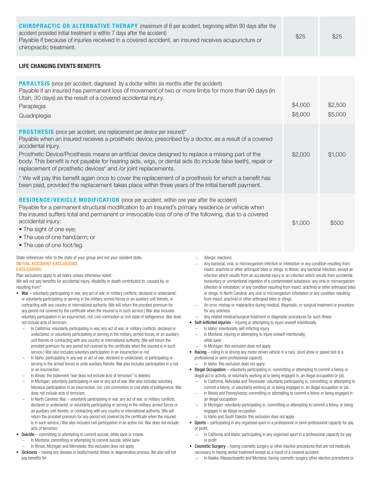| <b>CHIROPRACTIC OR ALTERNATIVE THERAPY</b> (maximum of 6 per accident, beginning within 90 days after the<br>accident provided initial treatment is within 7 days after the accident)<br>Payable if because of injuries received in a covered accident, an insured receives acupuncture or<br>chiropractic treatment. | \$25 | \$25 |
|-----------------------------------------------------------------------------------------------------------------------------------------------------------------------------------------------------------------------------------------------------------------------------------------------------------------------|------|------|
|-----------------------------------------------------------------------------------------------------------------------------------------------------------------------------------------------------------------------------------------------------------------------------------------------------------------------|------|------|

### LIFE CHANGING EVENTS BENEFITS

| <b>PARALYSIS</b> (once per accident, diagnosed by a doctor within six months after the accident)<br>Payable if an insured has permanent loss of movement of two or more limbs for more than 90 days (in<br>Utah, 30 days) as the result of a covered accidental injury.<br>Paraplegia<br>Quadriplegia                                                                                                                                                                                                                                                                                                                                                                                                                 | \$4,000<br>\$8,000 | \$2,500<br>\$5,000 |
|-----------------------------------------------------------------------------------------------------------------------------------------------------------------------------------------------------------------------------------------------------------------------------------------------------------------------------------------------------------------------------------------------------------------------------------------------------------------------------------------------------------------------------------------------------------------------------------------------------------------------------------------------------------------------------------------------------------------------|--------------------|--------------------|
| <b>PROSTHESIS</b> (once per accident, one replacement per device per insured)*<br>Payable when an insured receives a prosthetic device, prescribed by a doctor, as a result of a covered<br>accidental injury.<br>Prosthetic Device/Prosthesis means an artificial device designed to replace a missing part of the<br>body. This benefit is not payable for hearing aids, wigs, or dental aids (to include false teeth), repair or<br>replacement of prosthetic devices* and /or joint replacements.<br>* We will pay this benefit again once to cover the replacement of a prosthesis for which a benefit has<br>been paid, provided the replacement takes place within three years of the initial benefit payment. | \$2,000            | \$1,000            |
| <b>RESIDENCE/VEHICLE MODIFICATION</b> (once per accident, within one year after the accident)<br>Payable for a permanent structural modification to an insured's primary residence or vehicle when<br>the insured suffers total and permanent or irrevocable loss of one of the following, due to a covered<br>accidental injury:<br>• The sight of one eye;<br>• The use of one hand/arm; or<br>• The use of one foot/leg.                                                                                                                                                                                                                                                                                           | \$1,000            | \$500              |

#### State references refer to the state of your group and not your resident state. INITIAL ACCIDENT EXCLUSIONS

#### **EXCLUSIONS**

Plan exclusions apply to all riders unless otherwise noted.

We will not pay benefits for accidental injury, disability or death contributed to, caused by, or resulting from\*:

- War voluntarily participating in war, any act of war, or military conflicts, declared or undeclared, or voluntarily participating or serving in the military, armed forces or an auxiliary unit thereto, or contracting with any country or international authority. (We will return the prorated premium for any period not covered by the certificate when the insured is in such service.) War also includes voluntary participation in an insurrection, riot, civil commotion or civil state of belligerence. War does not include acts of terrorism.
	- − In California: voluntarily participating in war, any act of war, or military conflicts, declared or undeclared, or voluntarily participating or serving in the military, armed forces, or an auxiliary unit thereto or contracting with any country or international authority. (We will return the prorated premium for any period not covered by the certificate when the insured is in such service.) War also includes voluntary participation in an insurrection or riot.
	- In Idaho: participating in any war or act of war, declared or undeclared, or participating or serving in the armed forces or units auxiliary thereto. War also includes participation in a riot or an insurrection.
	- − In Illinois: the statement "war does not include acts of terrorism" is deleted.
	- In Michigan: voluntarily participating in war or any act of war. War also includes voluntary felonious participation in an insurrection, riot, civil commotion or civil state of belligerence. War does not include acts of terrorism.
	- − In North Carolina: War voluntarily participating in war, any act of war, or military conflicts, declared or undeclared, or voluntarily participating or serving in the military, armed forces or an auxiliary unit thereto, or contracting with any country or international authority. (We will return the prorated premium for any period not covered by the certificate when the insured is in such service.) War also includes civil participation in an active riot. War does not include acts of terrorism.
- Suicide committing or attempting to commit suicide, while sane or insane.
	- − In Montana: committing or attempting to commit suicide, while sane
	- − In Illinois, Michigan and Minnesota: this exclusion does not apply
- Sickness having any disease or bodily/mental illness or degenerative process. We also will not pay benefits for:
- − Allergic reactions
- Any bacterial, viral, or microorganism infection or infestation or any condition resulting from insect, arachnid or other arthropod bites or stings. In Illinois: any bacterial infection, except an infection which results from an accidental injury or an infection which results from accidental, involuntary or unintentional ingestion of a contaminated substance; any viral or microorganism infection or infestation; or any condition resulting from insect, arachnid or other arthropod bites or stings. In North Carolina: any viral or microorganism infestation or any condition resulting from insect, arachnid or other arthropod bites or stings
- An error, mishap or malpractice during medical, diagnostic, or surgical treatment or procedure for any sickness
- − Any related medical/surgical treatment or diagnostic procedures for such illness
- Self-Inflicted Injuries injuring or attempting to injure oneself intentionally.
	- − In Idaho: intentionally self-inflicting injury.
	- In Montana: injuring or attempting to injure oneself intentionally, while sane
	- − In Michigan: this exclusion does not apply
- Racing riding in or driving any motor-driven vehicle in a race, stunt show or speed test in a professional or semi-professional capacity.
	- − In Idaho: this exclusion does not apply
- Illegal Occupation voluntarily participating in, committing or attempting to commit a felony or illegal act or activity, or voluntarily working at or being engaged in, an illegal occupation or job.
	- − In California, Nebraska and Tennessee: voluntarily participating in, committing, or attempting to commit a felony; or voluntarily working at, or being engaged in, an illegal occupation or job.
	- − In Illinois and Pennsylvania: committing or attempting to commit a felony or being engaged in an illegal occupation
	- − In Michigan: voluntarily participating in, committing or attempting to commit a felony, or being engaged in an illegal occupation
	- − In Idaho and South Dakota: this exclusion does not apply
- Sports participating in any organized sport in a professional or semi-professional capacity for pay or profit.
- − In California and Idaho: participating in any organized sport in a professional capacity for pay or profit
- Cosmetic Surgery having cosmetic surgery or other elective procedures that are not medically necessary or having dental treatment except as a result of a covered accident.
	- − In Alaska, Massachusetts and Montana: having cosmetic surgery, other elective procedures or